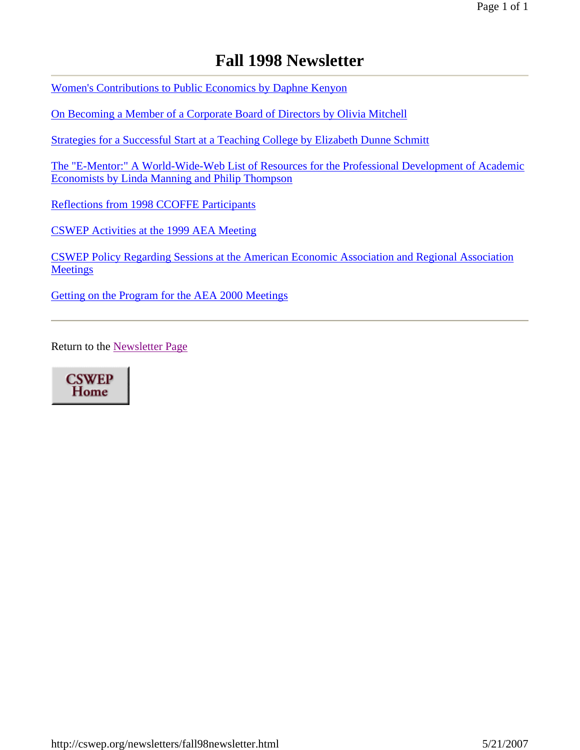# **Fall 1998 Newsletter**

Women's Contributions to Public Economics by Daphne Kenyon

On Becoming a Member of a Corporate Board of Directors by Olivia Mitchell

Strategies for a Successful Start at a Teaching College by Elizabeth Dunne Schmitt

The "E-Mentor:" A World-Wide-Web List of Resources for the Professional Development of Academic Economists by Linda Manning and Philip Thompson

Reflections from 1998 CCOFFE Participants

CSWEP Activities at the 1999 AEA Meeting

CSWEP Policy Regarding Sessions at the American Economic Association and Regional Association **Meetings** 

Getting on the Program for the AEA 2000 Meetings

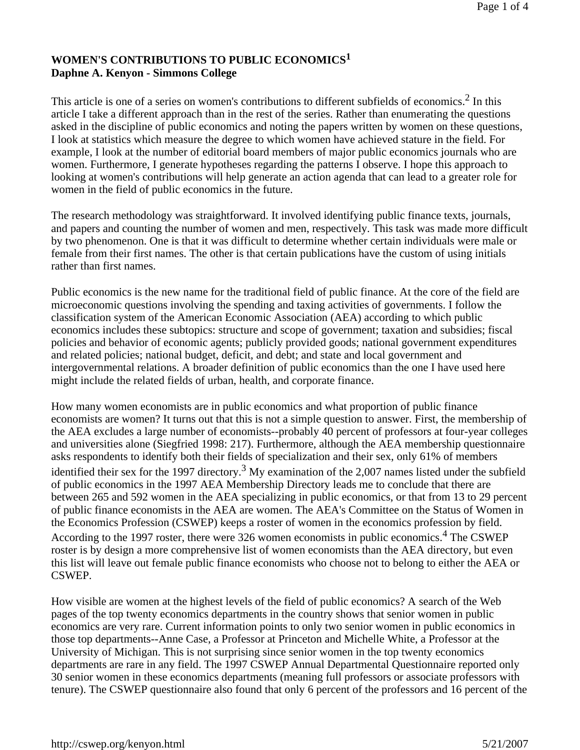#### **WOMEN'S CONTRIBUTIONS TO PUBLIC ECONOMICS<sup>1</sup> Daphne A. Kenyon - Simmons College**

This article is one of a series on women's contributions to different subfields of economics.<sup>2</sup> In this article I take a different approach than in the rest of the series. Rather than enumerating the questions asked in the discipline of public economics and noting the papers written by women on these questions, I look at statistics which measure the degree to which women have achieved stature in the field. For example, I look at the number of editorial board members of major public economics journals who are women. Furthermore, I generate hypotheses regarding the patterns I observe. I hope this approach to looking at women's contributions will help generate an action agenda that can lead to a greater role for women in the field of public economics in the future.

The research methodology was straightforward. It involved identifying public finance texts, journals, and papers and counting the number of women and men, respectively. This task was made more difficult by two phenomenon. One is that it was difficult to determine whether certain individuals were male or female from their first names. The other is that certain publications have the custom of using initials rather than first names.

Public economics is the new name for the traditional field of public finance. At the core of the field are microeconomic questions involving the spending and taxing activities of governments. I follow the classification system of the American Economic Association (AEA) according to which public economics includes these subtopics: structure and scope of government; taxation and subsidies; fiscal policies and behavior of economic agents; publicly provided goods; national government expenditures and related policies; national budget, deficit, and debt; and state and local government and intergovernmental relations. A broader definition of public economics than the one I have used here might include the related fields of urban, health, and corporate finance.

How many women economists are in public economics and what proportion of public finance economists are women? It turns out that this is not a simple question to answer. First, the membership of the AEA excludes a large number of economists--probably 40 percent of professors at four-year colleges and universities alone (Siegfried 1998: 217). Furthermore, although the AEA membership questionnaire asks respondents to identify both their fields of specialization and their sex, only 61% of members identified their sex for the 1997 directory.<sup>3</sup> My examination of the 2,007 names listed under the subfield of public economics in the 1997 AEA Membership Directory leads me to conclude that there are between 265 and 592 women in the AEA specializing in public economics, or that from 13 to 29 percent of public finance economists in the AEA are women. The AEA's Committee on the Status of Women in the Economics Profession (CSWEP) keeps a roster of women in the economics profession by field. According to the 1997 roster, there were 326 women economists in public economics.<sup>4</sup> The CSWEP roster is by design a more comprehensive list of women economists than the AEA directory, but even this list will leave out female public finance economists who choose not to belong to either the AEA or CSWEP.

How visible are women at the highest levels of the field of public economics? A search of the Web pages of the top twenty economics departments in the country shows that senior women in public economics are very rare. Current information points to only two senior women in public economics in those top departments--Anne Case, a Professor at Princeton and Michelle White, a Professor at the University of Michigan. This is not surprising since senior women in the top twenty economics departments are rare in any field. The 1997 CSWEP Annual Departmental Questionnaire reported only 30 senior women in these economics departments (meaning full professors or associate professors with tenure). The CSWEP questionnaire also found that only 6 percent of the professors and 16 percent of the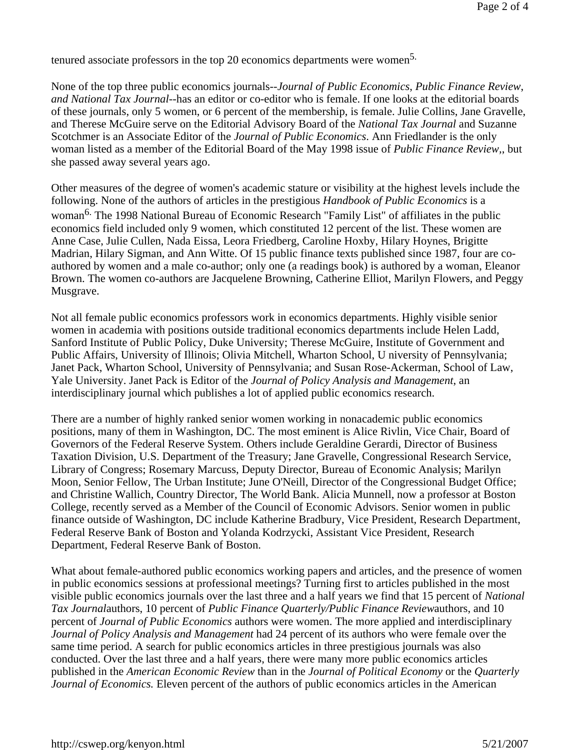tenured associate professors in the top 20 economics departments were women<sup>5.</sup>

None of the top three public economics journals--*Journal of Public Economics*, *Public Finance Review*, *and National Tax Journal*--has an editor or co-editor who is female. If one looks at the editorial boards of these journals, only 5 women, or 6 percent of the membership, is female. Julie Collins, Jane Gravelle, and Therese McGuire serve on the Editorial Advisory Board of the *National Tax Journal* and Suzanne Scotchmer is an Associate Editor of the *Journal of Public Economics*. Ann Friedlander is the only woman listed as a member of the Editorial Board of the May 1998 issue of *Public Finance Review,*, but she passed away several years ago.

Other measures of the degree of women's academic stature or visibility at the highest levels include the following. None of the authors of articles in the prestigious *Handbook of Public Economics* is a woman<sup>6.</sup> The 1998 National Bureau of Economic Research "Family List" of affiliates in the public economics field included only 9 women, which constituted 12 percent of the list. These women are Anne Case, Julie Cullen, Nada Eissa, Leora Friedberg, Caroline Hoxby, Hilary Hoynes, Brigitte Madrian, Hilary Sigman, and Ann Witte. Of 15 public finance texts published since 1987, four are coauthored by women and a male co-author; only one (a readings book) is authored by a woman, Eleanor Brown. The women co-authors are Jacquelene Browning, Catherine Elliot, Marilyn Flowers, and Peggy Musgrave.

Not all female public economics professors work in economics departments. Highly visible senior women in academia with positions outside traditional economics departments include Helen Ladd, Sanford Institute of Public Policy, Duke University; Therese McGuire, Institute of Government and Public Affairs, University of Illinois; Olivia Mitchell, Wharton School, U niversity of Pennsylvania; Janet Pack, Wharton School, University of Pennsylvania; and Susan Rose-Ackerman, School of Law, Yale University. Janet Pack is Editor of the *Journal of Policy Analysis and Management*, an interdisciplinary journal which publishes a lot of applied public economics research.

There are a number of highly ranked senior women working in nonacademic public economics positions, many of them in Washington, DC. The most eminent is Alice Rivlin, Vice Chair, Board of Governors of the Federal Reserve System. Others include Geraldine Gerardi, Director of Business Taxation Division, U.S. Department of the Treasury; Jane Gravelle, Congressional Research Service, Library of Congress; Rosemary Marcuss, Deputy Director, Bureau of Economic Analysis; Marilyn Moon, Senior Fellow, The Urban Institute; June O'Neill, Director of the Congressional Budget Office; and Christine Wallich, Country Director, The World Bank. Alicia Munnell, now a professor at Boston College, recently served as a Member of the Council of Economic Advisors. Senior women in public finance outside of Washington, DC include Katherine Bradbury, Vice President, Research Department, Federal Reserve Bank of Boston and Yolanda Kodrzycki, Assistant Vice President, Research Department, Federal Reserve Bank of Boston.

What about female-authored public economics working papers and articles, and the presence of women in public economics sessions at professional meetings? Turning first to articles published in the most visible public economics journals over the last three and a half years we find that 15 percent of *National Tax Journal*authors, 10 percent of *Public Finance Quarterly/Public Finance Review*authors, and 10 percent of *Journal of Public Economics* authors were women. The more applied and interdisciplinary *Journal of Policy Analysis and Management* had 24 percent of its authors who were female over the same time period. A search for public economics articles in three prestigious journals was also conducted. Over the last three and a half years, there were many more public economics articles published in the *American Economic Review* than in the *Journal of Political Economy* or the *Quarterly Journal of Economics.* Eleven percent of the authors of public economics articles in the American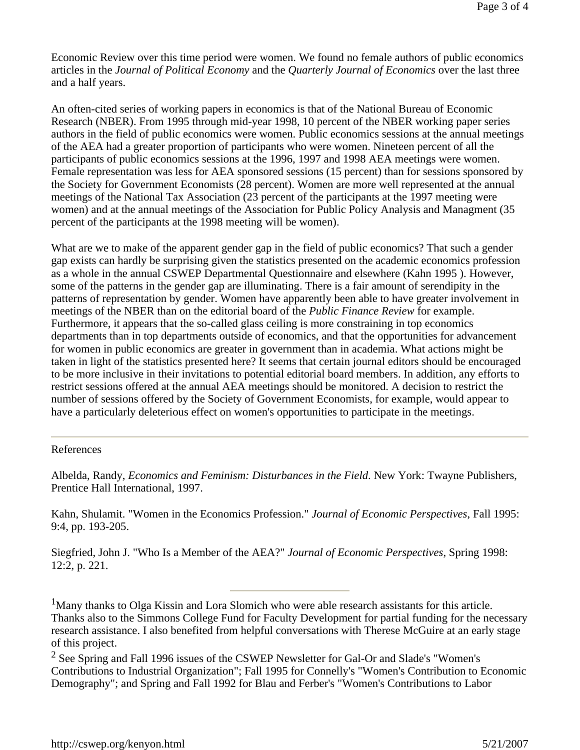Economic Review over this time period were women. We found no female authors of public economics articles in the *Journal of Political Economy* and the *Quarterly Journal of Economics* over the last three and a half years.

An often-cited series of working papers in economics is that of the National Bureau of Economic Research (NBER). From 1995 through mid-year 1998, 10 percent of the NBER working paper series authors in the field of public economics were women. Public economics sessions at the annual meetings of the AEA had a greater proportion of participants who were women. Nineteen percent of all the participants of public economics sessions at the 1996, 1997 and 1998 AEA meetings were women. Female representation was less for AEA sponsored sessions (15 percent) than for sessions sponsored by the Society for Government Economists (28 percent). Women are more well represented at the annual meetings of the National Tax Association (23 percent of the participants at the 1997 meeting were women) and at the annual meetings of the Association for Public Policy Analysis and Managment (35 percent of the participants at the 1998 meeting will be women).

What are we to make of the apparent gender gap in the field of public economics? That such a gender gap exists can hardly be surprising given the statistics presented on the academic economics profession as a whole in the annual CSWEP Departmental Questionnaire and elsewhere (Kahn 1995 ). However, some of the patterns in the gender gap are illuminating. There is a fair amount of serendipity in the patterns of representation by gender. Women have apparently been able to have greater involvement in meetings of the NBER than on the editorial board of the *Public Finance Review* for example. Furthermore, it appears that the so-called glass ceiling is more constraining in top economics departments than in top departments outside of economics, and that the opportunities for advancement for women in public economics are greater in government than in academia. What actions might be taken in light of the statistics presented here? It seems that certain journal editors should be encouraged to be more inclusive in their invitations to potential editorial board members. In addition, any efforts to restrict sessions offered at the annual AEA meetings should be monitored. A decision to restrict the number of sessions offered by the Society of Government Economists, for example, would appear to have a particularly deleterious effect on women's opportunities to participate in the meetings.

#### References

Albelda, Randy, *Economics and Feminism: Disturbances in the Field*. New York: Twayne Publishers, Prentice Hall International, 1997.

Kahn, Shulamit. "Women in the Economics Profession." *Journal of Economic Perspectives*, Fall 1995: 9:4, pp. 193-205.

Siegfried, John J. "Who Is a Member of the AEA?" *Journal of Economic Perspectives*, Spring 1998: 12:2, p. 221.

<sup>1</sup>Many thanks to Olga Kissin and Lora Slomich who were able research assistants for this article. Thanks also to the Simmons College Fund for Faculty Development for partial funding for the necessary research assistance. I also benefited from helpful conversations with Therese McGuire at an early stage of this project.

 $2$  See Spring and Fall 1996 issues of the CSWEP Newsletter for Gal-Or and Slade's "Women's Contributions to Industrial Organization"; Fall 1995 for Connelly's "Women's Contribution to Economic Demography"; and Spring and Fall 1992 for Blau and Ferber's "Women's Contributions to Labor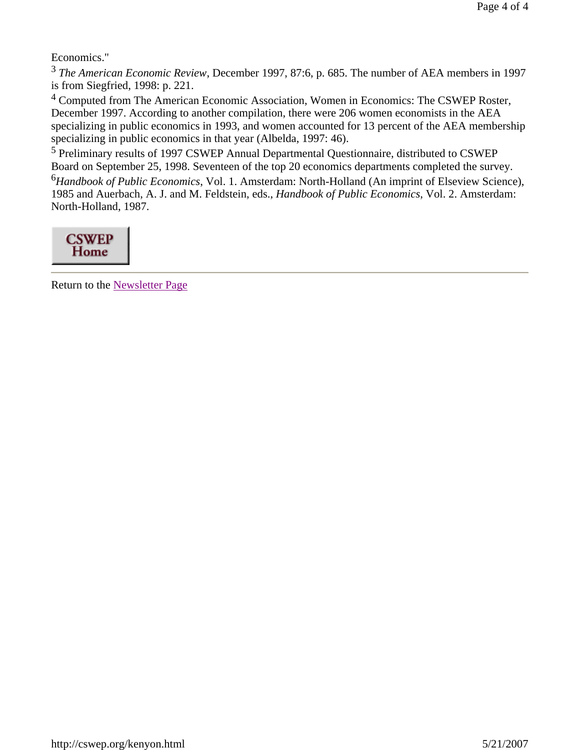Economics."

<sup>3</sup> *The American Economic Review*, December 1997, 87:6, p. 685. The number of AEA members in 1997 is from Siegfried, 1998: p. 221.

4 Computed from The American Economic Association, Women in Economics: The CSWEP Roster, December 1997. According to another compilation, there were 206 women economists in the AEA specializing in public economics in 1993, and women accounted for 13 percent of the AEA membership specializing in public economics in that year (Albelda, 1997: 46).

5 Preliminary results of 1997 CSWEP Annual Departmental Questionnaire, distributed to CSWEP Board on September 25, 1998. Seventeen of the top 20 economics departments completed the survey.

<sup>6</sup>*Handbook of Public Economics*, Vol. 1. Amsterdam: North-Holland (An imprint of Elseview Science), 1985 and Auerbach, A. J. and M. Feldstein, eds., *Handbook of Public Economics*, Vol. 2. Amsterdam: North-Holland, 1987.

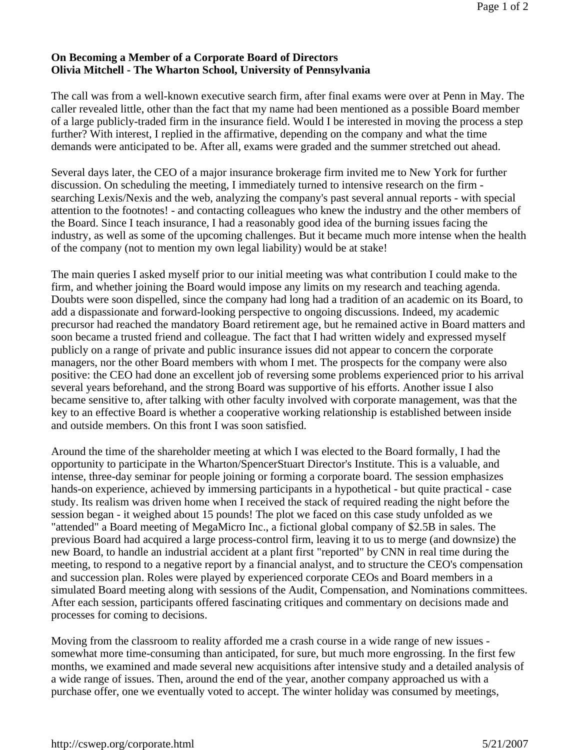#### **On Becoming a Member of a Corporate Board of Directors Olivia Mitchell - The Wharton School, University of Pennsylvania**

The call was from a well-known executive search firm, after final exams were over at Penn in May. The caller revealed little, other than the fact that my name had been mentioned as a possible Board member of a large publicly-traded firm in the insurance field. Would I be interested in moving the process a step further? With interest, I replied in the affirmative, depending on the company and what the time demands were anticipated to be. After all, exams were graded and the summer stretched out ahead.

Several days later, the CEO of a major insurance brokerage firm invited me to New York for further discussion. On scheduling the meeting, I immediately turned to intensive research on the firm searching Lexis/Nexis and the web, analyzing the company's past several annual reports - with special attention to the footnotes! - and contacting colleagues who knew the industry and the other members of the Board. Since I teach insurance, I had a reasonably good idea of the burning issues facing the industry, as well as some of the upcoming challenges. But it became much more intense when the health of the company (not to mention my own legal liability) would be at stake!

The main queries I asked myself prior to our initial meeting was what contribution I could make to the firm, and whether joining the Board would impose any limits on my research and teaching agenda. Doubts were soon dispelled, since the company had long had a tradition of an academic on its Board, to add a dispassionate and forward-looking perspective to ongoing discussions. Indeed, my academic precursor had reached the mandatory Board retirement age, but he remained active in Board matters and soon became a trusted friend and colleague. The fact that I had written widely and expressed myself publicly on a range of private and public insurance issues did not appear to concern the corporate managers, nor the other Board members with whom I met. The prospects for the company were also positive: the CEO had done an excellent job of reversing some problems experienced prior to his arrival several years beforehand, and the strong Board was supportive of his efforts. Another issue I also became sensitive to, after talking with other faculty involved with corporate management, was that the key to an effective Board is whether a cooperative working relationship is established between inside and outside members. On this front I was soon satisfied.

Around the time of the shareholder meeting at which I was elected to the Board formally, I had the opportunity to participate in the Wharton/SpencerStuart Director's Institute. This is a valuable, and intense, three-day seminar for people joining or forming a corporate board. The session emphasizes hands-on experience, achieved by immersing participants in a hypothetical - but quite practical - case study. Its realism was driven home when I received the stack of required reading the night before the session began - it weighed about 15 pounds! The plot we faced on this case study unfolded as we "attended" a Board meeting of MegaMicro Inc., a fictional global company of \$2.5B in sales. The previous Board had acquired a large process-control firm, leaving it to us to merge (and downsize) the new Board, to handle an industrial accident at a plant first "reported" by CNN in real time during the meeting, to respond to a negative report by a financial analyst, and to structure the CEO's compensation and succession plan. Roles were played by experienced corporate CEOs and Board members in a simulated Board meeting along with sessions of the Audit, Compensation, and Nominations committees. After each session, participants offered fascinating critiques and commentary on decisions made and processes for coming to decisions.

Moving from the classroom to reality afforded me a crash course in a wide range of new issues somewhat more time-consuming than anticipated, for sure, but much more engrossing. In the first few months, we examined and made several new acquisitions after intensive study and a detailed analysis of a wide range of issues. Then, around the end of the year, another company approached us with a purchase offer, one we eventually voted to accept. The winter holiday was consumed by meetings,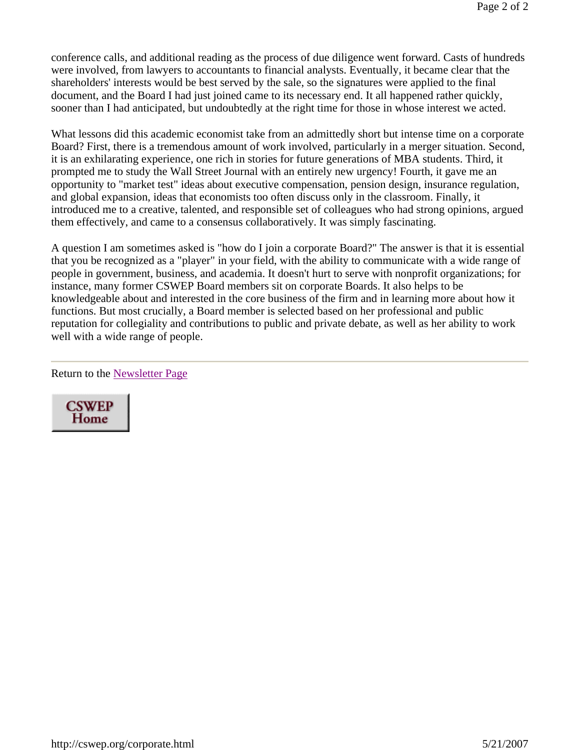conference calls, and additional reading as the process of due diligence went forward. Casts of hundreds were involved, from lawyers to accountants to financial analysts. Eventually, it became clear that the shareholders' interests would be best served by the sale, so the signatures were applied to the final document, and the Board I had just joined came to its necessary end. It all happened rather quickly, sooner than I had anticipated, but undoubtedly at the right time for those in whose interest we acted.

What lessons did this academic economist take from an admittedly short but intense time on a corporate Board? First, there is a tremendous amount of work involved, particularly in a merger situation. Second, it is an exhilarating experience, one rich in stories for future generations of MBA students. Third, it prompted me to study the Wall Street Journal with an entirely new urgency! Fourth, it gave me an opportunity to "market test" ideas about executive compensation, pension design, insurance regulation, and global expansion, ideas that economists too often discuss only in the classroom. Finally, it introduced me to a creative, talented, and responsible set of colleagues who had strong opinions, argued them effectively, and came to a consensus collaboratively. It was simply fascinating.

A question I am sometimes asked is "how do I join a corporate Board?" The answer is that it is essential that you be recognized as a "player" in your field, with the ability to communicate with a wide range of people in government, business, and academia. It doesn't hurt to serve with nonprofit organizations; for instance, many former CSWEP Board members sit on corporate Boards. It also helps to be knowledgeable about and interested in the core business of the firm and in learning more about how it functions. But most crucially, a Board member is selected based on her professional and public reputation for collegiality and contributions to public and private debate, as well as her ability to work well with a wide range of people.

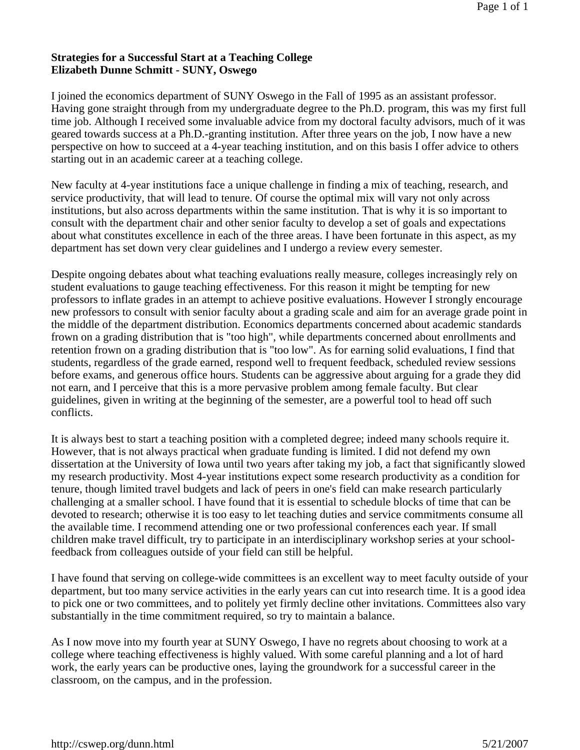#### **Strategies for a Successful Start at a Teaching College Elizabeth Dunne Schmitt - SUNY, Oswego**

I joined the economics department of SUNY Oswego in the Fall of 1995 as an assistant professor. Having gone straight through from my undergraduate degree to the Ph.D. program, this was my first full time job. Although I received some invaluable advice from my doctoral faculty advisors, much of it was geared towards success at a Ph.D.-granting institution. After three years on the job, I now have a new perspective on how to succeed at a 4-year teaching institution, and on this basis I offer advice to others starting out in an academic career at a teaching college.

New faculty at 4-year institutions face a unique challenge in finding a mix of teaching, research, and service productivity, that will lead to tenure. Of course the optimal mix will vary not only across institutions, but also across departments within the same institution. That is why it is so important to consult with the department chair and other senior faculty to develop a set of goals and expectations about what constitutes excellence in each of the three areas. I have been fortunate in this aspect, as my department has set down very clear guidelines and I undergo a review every semester.

Despite ongoing debates about what teaching evaluations really measure, colleges increasingly rely on student evaluations to gauge teaching effectiveness. For this reason it might be tempting for new professors to inflate grades in an attempt to achieve positive evaluations. However I strongly encourage new professors to consult with senior faculty about a grading scale and aim for an average grade point in the middle of the department distribution. Economics departments concerned about academic standards frown on a grading distribution that is "too high", while departments concerned about enrollments and retention frown on a grading distribution that is "too low". As for earning solid evaluations, I find that students, regardless of the grade earned, respond well to frequent feedback, scheduled review sessions before exams, and generous office hours. Students can be aggressive about arguing for a grade they did not earn, and I perceive that this is a more pervasive problem among female faculty. But clear guidelines, given in writing at the beginning of the semester, are a powerful tool to head off such conflicts.

It is always best to start a teaching position with a completed degree; indeed many schools require it. However, that is not always practical when graduate funding is limited. I did not defend my own dissertation at the University of Iowa until two years after taking my job, a fact that significantly slowed my research productivity. Most 4-year institutions expect some research productivity as a condition for tenure, though limited travel budgets and lack of peers in one's field can make research particularly challenging at a smaller school. I have found that it is essential to schedule blocks of time that can be devoted to research; otherwise it is too easy to let teaching duties and service commitments consume all the available time. I recommend attending one or two professional conferences each year. If small children make travel difficult, try to participate in an interdisciplinary workshop series at your schoolfeedback from colleagues outside of your field can still be helpful.

I have found that serving on college-wide committees is an excellent way to meet faculty outside of your department, but too many service activities in the early years can cut into research time. It is a good idea to pick one or two committees, and to politely yet firmly decline other invitations. Committees also vary substantially in the time commitment required, so try to maintain a balance.

As I now move into my fourth year at SUNY Oswego, I have no regrets about choosing to work at a college where teaching effectiveness is highly valued. With some careful planning and a lot of hard work, the early years can be productive ones, laying the groundwork for a successful career in the classroom, on the campus, and in the profession.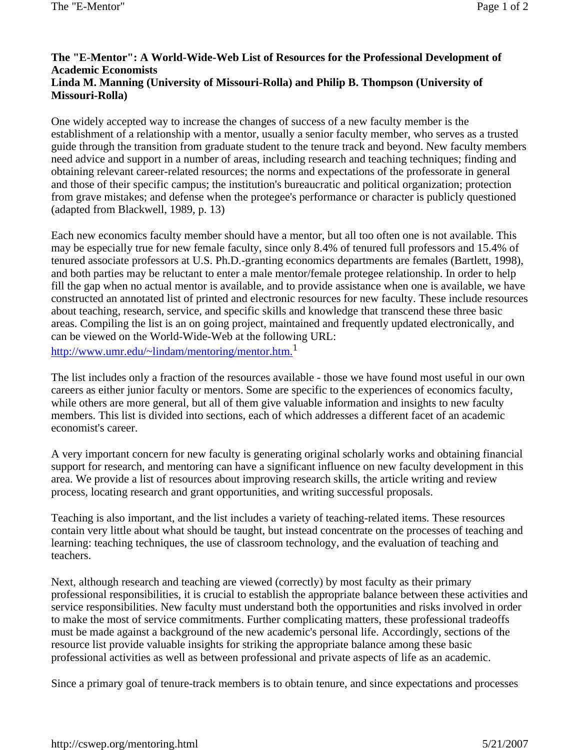#### **The "E-Mentor": A World-Wide-Web List of Resources for the Professional Development of Academic Economists Linda M. Manning (University of Missouri-Rolla) and Philip B. Thompson (University of Missouri-Rolla)**

One widely accepted way to increase the changes of success of a new faculty member is the establishment of a relationship with a mentor, usually a senior faculty member, who serves as a trusted guide through the transition from graduate student to the tenure track and beyond. New faculty members need advice and support in a number of areas, including research and teaching techniques; finding and obtaining relevant career-related resources; the norms and expectations of the professorate in general and those of their specific campus; the institution's bureaucratic and political organization; protection from grave mistakes; and defense when the protegee's performance or character is publicly questioned (adapted from Blackwell, 1989, p. 13)

Each new economics faculty member should have a mentor, but all too often one is not available. This may be especially true for new female faculty, since only 8.4% of tenured full professors and 15.4% of tenured associate professors at U.S. Ph.D.-granting economics departments are females (Bartlett, 1998), and both parties may be reluctant to enter a male mentor/female protegee relationship. In order to help fill the gap when no actual mentor is available, and to provide assistance when one is available, we have constructed an annotated list of printed and electronic resources for new faculty. These include resources about teaching, research, service, and specific skills and knowledge that transcend these three basic areas. Compiling the list is an on going project, maintained and frequently updated electronically, and can be viewed on the World-Wide-Web at the following URL:

http://www.umr.edu/~lindam/mentoring/mentor.htm.<sup>1</sup>

The list includes only a fraction of the resources available - those we have found most useful in our own careers as either junior faculty or mentors. Some are specific to the experiences of economics faculty, while others are more general, but all of them give valuable information and insights to new faculty members. This list is divided into sections, each of which addresses a different facet of an academic economist's career.

A very important concern for new faculty is generating original scholarly works and obtaining financial support for research, and mentoring can have a significant influence on new faculty development in this area. We provide a list of resources about improving research skills, the article writing and review process, locating research and grant opportunities, and writing successful proposals.

Teaching is also important, and the list includes a variety of teaching-related items. These resources contain very little about what should be taught, but instead concentrate on the processes of teaching and learning: teaching techniques, the use of classroom technology, and the evaluation of teaching and teachers.

Next, although research and teaching are viewed (correctly) by most faculty as their primary professional responsibilities, it is crucial to establish the appropriate balance between these activities and service responsibilities. New faculty must understand both the opportunities and risks involved in order to make the most of service commitments. Further complicating matters, these professional tradeoffs must be made against a background of the new academic's personal life. Accordingly, sections of the resource list provide valuable insights for striking the appropriate balance among these basic professional activities as well as between professional and private aspects of life as an academic.

Since a primary goal of tenure-track members is to obtain tenure, and since expectations and processes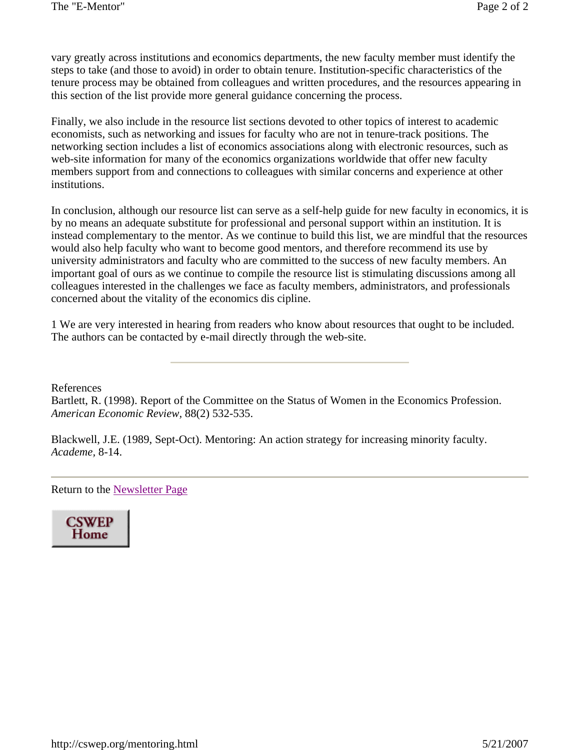vary greatly across institutions and economics departments, the new faculty member must identify the steps to take (and those to avoid) in order to obtain tenure. Institution-specific characteristics of the tenure process may be obtained from colleagues and written procedures, and the resources appearing in this section of the list provide more general guidance concerning the process.

Finally, we also include in the resource list sections devoted to other topics of interest to academic economists, such as networking and issues for faculty who are not in tenure-track positions. The networking section includes a list of economics associations along with electronic resources, such as web-site information for many of the economics organizations worldwide that offer new faculty members support from and connections to colleagues with similar concerns and experience at other institutions.

In conclusion, although our resource list can serve as a self-help guide for new faculty in economics, it is by no means an adequate substitute for professional and personal support within an institution. It is instead complementary to the mentor. As we continue to build this list, we are mindful that the resources would also help faculty who want to become good mentors, and therefore recommend its use by university administrators and faculty who are committed to the success of new faculty members. An important goal of ours as we continue to compile the resource list is stimulating discussions among all colleagues interested in the challenges we face as faculty members, administrators, and professionals concerned about the vitality of the economics dis cipline.

1 We are very interested in hearing from readers who know about resources that ought to be included. The authors can be contacted by e-mail directly through the web-site.

References

Bartlett, R. (1998). Report of the Committee on the Status of Women in the Economics Profession. *American Economic Review,* 88(2) 532-535.

Blackwell, J.E. (1989, Sept-Oct). Mentoring: An action strategy for increasing minority faculty. *Academe,* 8-14.

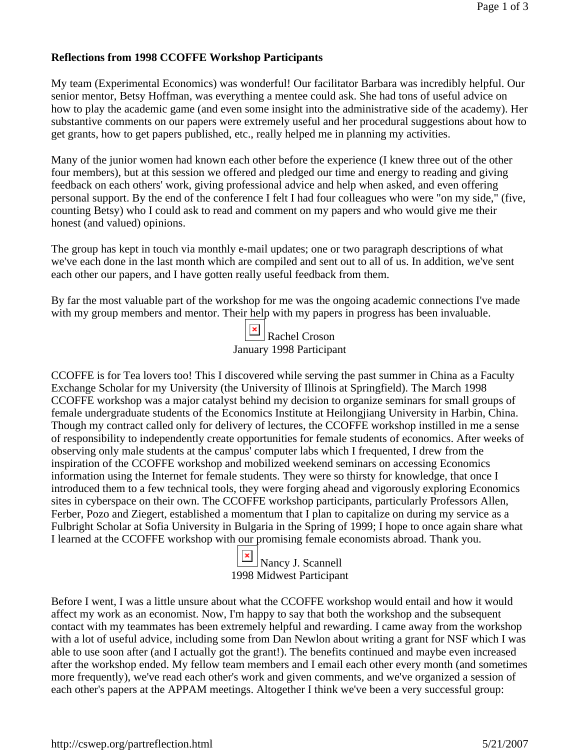#### **Reflections from 1998 CCOFFE Workshop Participants**

My team (Experimental Economics) was wonderful! Our facilitator Barbara was incredibly helpful. Our senior mentor, Betsy Hoffman, was everything a mentee could ask. She had tons of useful advice on how to play the academic game (and even some insight into the administrative side of the academy). Her substantive comments on our papers were extremely useful and her procedural suggestions about how to get grants, how to get papers published, etc., really helped me in planning my activities.

Many of the junior women had known each other before the experience (I knew three out of the other four members), but at this session we offered and pledged our time and energy to reading and giving feedback on each others' work, giving professional advice and help when asked, and even offering personal support. By the end of the conference I felt I had four colleagues who were "on my side," (five, counting Betsy) who I could ask to read and comment on my papers and who would give me their honest (and valued) opinions.

The group has kept in touch via monthly e-mail updates; one or two paragraph descriptions of what we've each done in the last month which are compiled and sent out to all of us. In addition, we've sent each other our papers, and I have gotten really useful feedback from them.

By far the most valuable part of the workshop for me was the ongoing academic connections I've made with my group members and mentor. Their help with my papers in progress has been invaluable.

| $\boxed{\phantom{a}}$ Rachel Croson |
|-------------------------------------|
| January 1998 Participant            |

CCOFFE is for Tea lovers too! This I discovered while serving the past summer in China as a Faculty Exchange Scholar for my University (the University of Illinois at Springfield). The March 1998 CCOFFE workshop was a major catalyst behind my decision to organize seminars for small groups of female undergraduate students of the Economics Institute at Heilongjiang University in Harbin, China. Though my contract called only for delivery of lectures, the CCOFFE workshop instilled in me a sense of responsibility to independently create opportunities for female students of economics. After weeks of observing only male students at the campus' computer labs which I frequented, I drew from the inspiration of the CCOFFE workshop and mobilized weekend seminars on accessing Economics information using the Internet for female students. They were so thirsty for knowledge, that once I introduced them to a few technical tools, they were forging ahead and vigorously exploring Economics sites in cyberspace on their own. The CCOFFE workshop participants, particularly Professors Allen, Ferber, Pozo and Ziegert, established a momentum that I plan to capitalize on during my service as a Fulbright Scholar at Sofia University in Bulgaria in the Spring of 1999; I hope to once again share what I learned at the CCOFFE workshop with our promising female economists abroad. Thank you.

> Nancy J. Scannell 1998 Midwest Participant

Before I went, I was a little unsure about what the CCOFFE workshop would entail and how it would affect my work as an economist. Now, I'm happy to say that both the workshop and the subsequent contact with my teammates has been extremely helpful and rewarding. I came away from the workshop with a lot of useful advice, including some from Dan Newlon about writing a grant for NSF which I was able to use soon after (and I actually got the grant!). The benefits continued and maybe even increased after the workshop ended. My fellow team members and I email each other every month (and sometimes more frequently), we've read each other's work and given comments, and we've organized a session of each other's papers at the APPAM meetings. Altogether I think we've been a very successful group: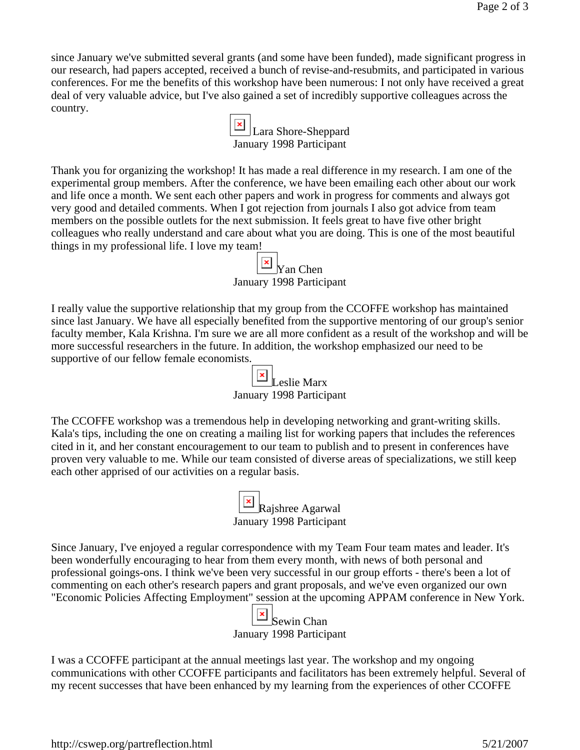since January we've submitted several grants (and some have been funded), made significant progress in our research, had papers accepted, received a bunch of revise-and-resubmits, and participated in various conferences. For me the benefits of this workshop have been numerous: I not only have received a great deal of very valuable advice, but I've also gained a set of incredibly supportive colleagues across the country.



Thank you for organizing the workshop! It has made a real difference in my research. I am one of the experimental group members. After the conference, we have been emailing each other about our work and life once a month. We sent each other papers and work in progress for comments and always got very good and detailed comments. When I got rejection from journals I also got advice from team members on the possible outlets for the next submission. It feels great to have five other bright colleagues who really understand and care about what you are doing. This is one of the most beautiful things in my professional life. I love my team!

| $\boxed{\blacksquare}$ Yan Chen |
|---------------------------------|
| January 1998 Participant        |

I really value the supportive relationship that my group from the CCOFFE workshop has maintained since last January. We have all especially benefited from the supportive mentoring of our group's senior faculty member, Kala Krishna. I'm sure we are all more confident as a result of the workshop and will be more successful researchers in the future. In addition, the workshop emphasized our need to be supportive of our fellow female economists.

| $\mathbb{E}$ Leslie Marx |
|--------------------------|
| January 1998 Participant |

The CCOFFE workshop was a tremendous help in developing networking and grant-writing skills. Kala's tips, including the one on creating a mailing list for working papers that includes the references cited in it, and her constant encouragement to our team to publish and to present in conferences have proven very valuable to me. While our team consisted of diverse areas of specializations, we still keep each other apprised of our activities on a regular basis.



Since January, I've enjoyed a regular correspondence with my Team Four team mates and leader. It's been wonderfully encouraging to hear from them every month, with news of both personal and professional goings-ons. I think we've been very successful in our group efforts - there's been a lot of commenting on each other's research papers and grant proposals, and we've even organized our own "Economic Policies Affecting Employment" session at the upcoming APPAM conference in New York.



I was a CCOFFE participant at the annual meetings last year. The workshop and my ongoing communications with other CCOFFE participants and facilitators has been extremely helpful. Several of my recent successes that have been enhanced by my learning from the experiences of other CCOFFE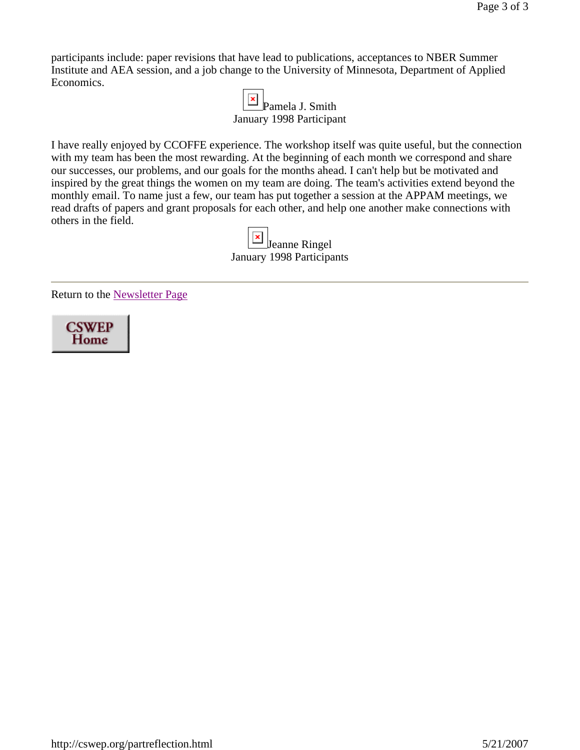participants include: paper revisions that have lead to publications, acceptances to NBER Summer Institute and AEA session, and a job change to the University of Minnesota, Department of Applied Economics.

| $\boxed{\mathbf{x}}$ Pamela J. Smith |
|--------------------------------------|
| January 1998 Participant             |

I have really enjoyed by CCOFFE experience. The workshop itself was quite useful, but the connection with my team has been the most rewarding. At the beginning of each month we correspond and share our successes, our problems, and our goals for the months ahead. I can't help but be motivated and inspired by the great things the women on my team are doing. The team's activities extend beyond the monthly email. To name just a few, our team has put together a session at the APPAM meetings, we read drafts of papers and grant proposals for each other, and help one another make connections with others in the field.

> **x** Jeanne Ringel January 1998 Participants

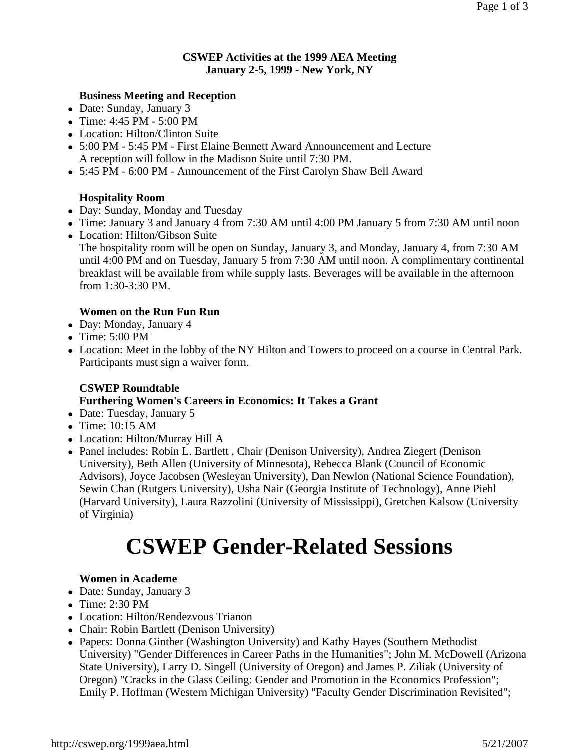#### **CSWEP Activities at the 1999 AEA Meeting January 2-5, 1999 - New York, NY**

### **Business Meeting and Reception**

- Date: Sunday, January 3
- Time:  $4:45$  PM  $5:00$  PM
- Location: Hilton/Clinton Suite
- 5:00 PM 5:45 PM First Elaine Bennett Award Announcement and Lecture A reception will follow in the Madison Suite until 7:30 PM.
- <sup>z</sup> 5:45 PM 6:00 PM Announcement of the First Carolyn Shaw Bell Award

## **Hospitality Room**

- Day: Sunday, Monday and Tuesday
- Time: January 3 and January 4 from 7:30 AM until 4:00 PM January 5 from 7:30 AM until noon
- Location: Hilton/Gibson Suite The hospitality room will be open on Sunday, January 3, and Monday, January 4, from 7:30 AM until 4:00 PM and on Tuesday, January 5 from 7:30 AM until noon. A complimentary continental breakfast will be available from while supply lasts. Beverages will be available in the afternoon from 1:30-3:30 PM.

#### **Women on the Run Fun Run**

- Day: Monday, January 4
- $\bullet$  Time: 5:00 PM
- Location: Meet in the lobby of the NY Hilton and Towers to proceed on a course in Central Park. Participants must sign a waiver form.

#### **CSWEP Roundtable Furthering Women's Careers in Economics: It Takes a Grant**

- Date: Tuesday, January 5
- $\bullet$  Time: 10:15 AM
- Location: Hilton/Murray Hill A
- Panel includes: Robin L. Bartlett, Chair (Denison University), Andrea Ziegert (Denison University), Beth Allen (University of Minnesota), Rebecca Blank (Council of Economic Advisors), Joyce Jacobsen (Wesleyan University), Dan Newlon (National Science Foundation), Sewin Chan (Rutgers University), Usha Nair (Georgia Institute of Technology), Anne Piehl (Harvard University), Laura Razzolini (University of Mississippi), Gretchen Kalsow (University of Virginia)

# **CSWEP Gender-Related Sessions**

#### **Women in Academe**

- Date: Sunday, January 3
- $\bullet$  Time: 2:30 PM
- Location: Hilton/Rendezvous Trianon
- Chair: Robin Bartlett (Denison University)
- Papers: Donna Ginther (Washington University) and Kathy Hayes (Southern Methodist) University) "Gender Differences in Career Paths in the Humanities"; John M. McDowell (Arizona State University), Larry D. Singell (University of Oregon) and James P. Ziliak (University of Oregon) "Cracks in the Glass Ceiling: Gender and Promotion in the Economics Profession"; Emily P. Hoffman (Western Michigan University) "Faculty Gender Discrimination Revisited";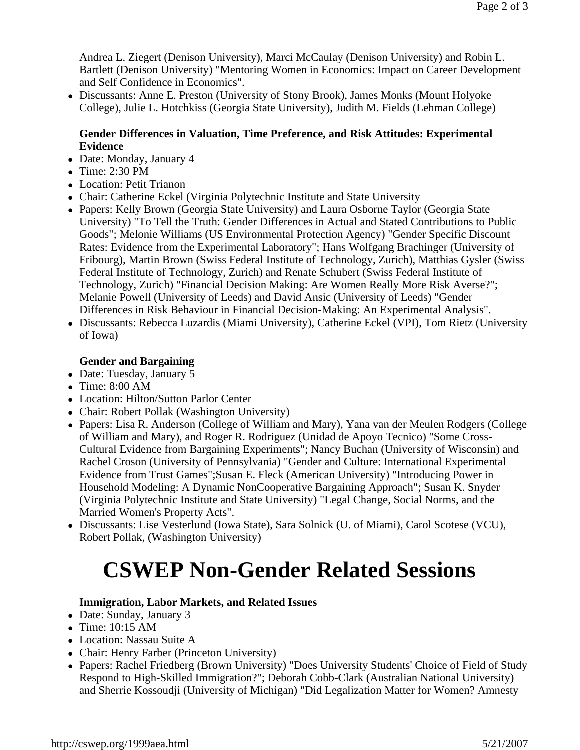Andrea L. Ziegert (Denison University), Marci McCaulay (Denison University) and Robin L. Bartlett (Denison University) "Mentoring Women in Economics: Impact on Career Development and Self Confidence in Economics".

• Discussants: Anne E. Preston (University of Stony Brook), James Monks (Mount Holyoke College), Julie L. Hotchkiss (Georgia State University), Judith M. Fields (Lehman College)

#### **Gender Differences in Valuation, Time Preference, and Risk Attitudes: Experimental Evidence**

- Date: Monday, January 4
- $\bullet$  Time: 2:30 PM
- Location: Petit Trianon
- Chair: Catherine Eckel (Virginia Polytechnic Institute and State University
- Papers: Kelly Brown (Georgia State University) and Laura Osborne Taylor (Georgia State University) "To Tell the Truth: Gender Differences in Actual and Stated Contributions to Public Goods"; Melonie Williams (US Environmental Protection Agency) "Gender Specific Discount Rates: Evidence from the Experimental Laboratory"; Hans Wolfgang Brachinger (University of Fribourg), Martin Brown (Swiss Federal Institute of Technology, Zurich), Matthias Gysler (Swiss Federal Institute of Technology, Zurich) and Renate Schubert (Swiss Federal Institute of Technology, Zurich) "Financial Decision Making: Are Women Really More Risk Averse?"; Melanie Powell (University of Leeds) and David Ansic (University of Leeds) "Gender Differences in Risk Behaviour in Financial Decision-Making: An Experimental Analysis".
- Discussants: Rebecca Luzardis (Miami University), Catherine Eckel (VPI), Tom Rietz (University of Iowa)

## **Gender and Bargaining**

- Date: Tuesday, January 5
- $\bullet$  Time: 8:00 AM
- Location: Hilton/Sutton Parlor Center
- Chair: Robert Pollak (Washington University)
- Papers: Lisa R. Anderson (College of William and Mary), Yana van der Meulen Rodgers (College of William and Mary), and Roger R. Rodriguez (Unidad de Apoyo Tecnico) "Some Cross-Cultural Evidence from Bargaining Experiments"; Nancy Buchan (University of Wisconsin) and Rachel Croson (University of Pennsylvania) "Gender and Culture: International Experimental Evidence from Trust Games";Susan E. Fleck (American University) "Introducing Power in Household Modeling: A Dynamic NonCooperative Bargaining Approach"; Susan K. Snyder (Virginia Polytechnic Institute and State University) "Legal Change, Social Norms, and the Married Women's Property Acts".
- Discussants: Lise Vesterlund (Iowa State), Sara Solnick (U. of Miami), Carol Scotese (VCU), Robert Pollak, (Washington University)

# **CSWEP Non-Gender Related Sessions**

#### **Immigration, Labor Markets, and Related Issues**

- Date: Sunday, January 3
- $\bullet$  Time: 10:15 AM
- Location: Nassau Suite A
- Chair: Henry Farber (Princeton University)
- Papers: Rachel Friedberg (Brown University) "Does University Students' Choice of Field of Study Respond to High-Skilled Immigration?"; Deborah Cobb-Clark (Australian National University) and Sherrie Kossoudji (University of Michigan) "Did Legalization Matter for Women? Amnesty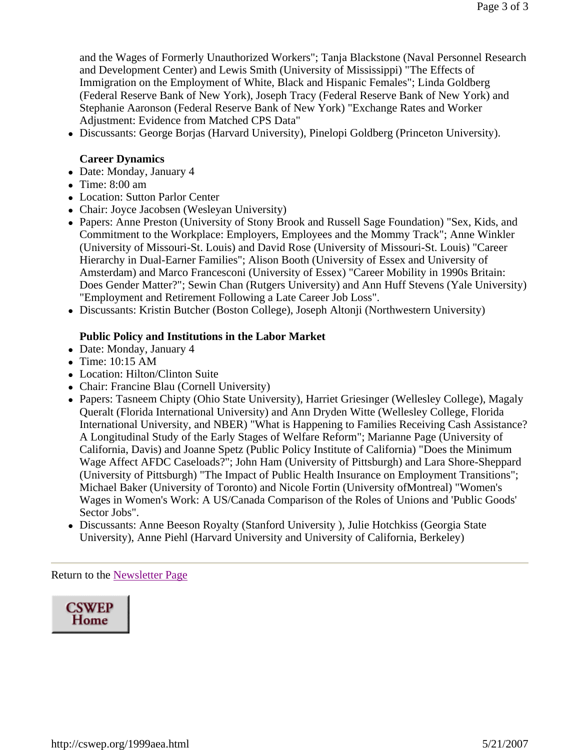and the Wages of Formerly Unauthorized Workers"; Tanja Blackstone (Naval Personnel Research and Development Center) and Lewis Smith (University of Mississippi) "The Effects of Immigration on the Employment of White, Black and Hispanic Females"; Linda Goldberg (Federal Reserve Bank of New York), Joseph Tracy (Federal Reserve Bank of New York) and Stephanie Aaronson (Federal Reserve Bank of New York) "Exchange Rates and Worker Adjustment: Evidence from Matched CPS Data"

• Discussants: George Borjas (Harvard University), Pinelopi Goldberg (Princeton University).

#### **Career Dynamics**

- Date: Monday, January 4
- $\bullet$  Time: 8:00 am
- Location: Sutton Parlor Center
- Chair: Joyce Jacobsen (Wesleyan University)
- Papers: Anne Preston (University of Stony Brook and Russell Sage Foundation) "Sex, Kids, and Commitment to the Workplace: Employers, Employees and the Mommy Track"; Anne Winkler (University of Missouri-St. Louis) and David Rose (University of Missouri-St. Louis) "Career Hierarchy in Dual-Earner Families"; Alison Booth (University of Essex and University of Amsterdam) and Marco Francesconi (University of Essex) "Career Mobility in 1990s Britain: Does Gender Matter?"; Sewin Chan (Rutgers University) and Ann Huff Stevens (Yale University) "Employment and Retirement Following a Late Career Job Loss".
- Discussants: Kristin Butcher (Boston College), Joseph Altonji (Northwestern University)

#### **Public Policy and Institutions in the Labor Market**

- Date: Monday, January 4
- $\bullet$  Time: 10:15 AM
- Location: Hilton/Clinton Suite
- Chair: Francine Blau (Cornell University)
- Papers: Tasneem Chipty (Ohio State University), Harriet Griesinger (Wellesley College), Magaly Queralt (Florida International University) and Ann Dryden Witte (Wellesley College, Florida International University, and NBER) "What is Happening to Families Receiving Cash Assistance? A Longitudinal Study of the Early Stages of Welfare Reform"; Marianne Page (University of California, Davis) and Joanne Spetz (Public Policy Institute of California) "Does the Minimum Wage Affect AFDC Caseloads?"; John Ham (University of Pittsburgh) and Lara Shore-Sheppard (University of Pittsburgh) "The Impact of Public Health Insurance on Employment Transitions"; Michael Baker (University of Toronto) and Nicole Fortin (University ofMontreal) "Women's Wages in Women's Work: A US/Canada Comparison of the Roles of Unions and 'Public Goods' Sector Jobs".
- Discussants: Anne Beeson Royalty (Stanford University ), Julie Hotchkiss (Georgia State University), Anne Piehl (Harvard University and University of California, Berkeley)

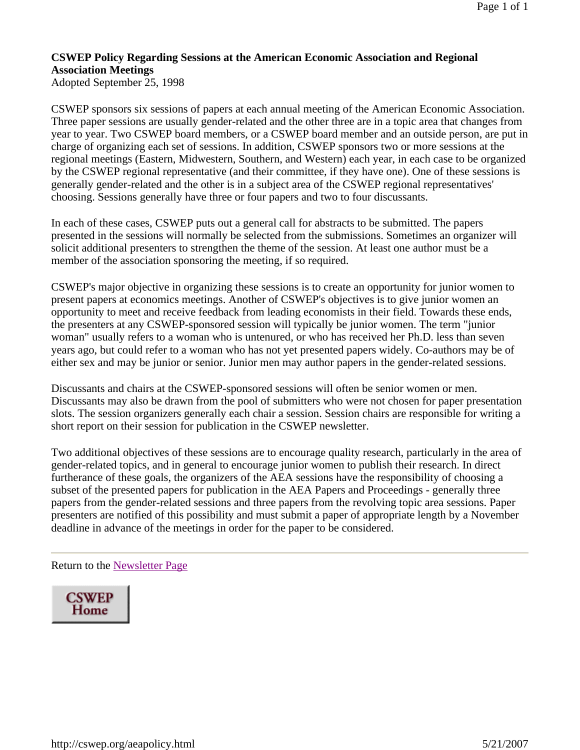## **CSWEP Policy Regarding Sessions at the American Economic Association and Regional Association Meetings**

Adopted September 25, 1998

CSWEP sponsors six sessions of papers at each annual meeting of the American Economic Association. Three paper sessions are usually gender-related and the other three are in a topic area that changes from year to year. Two CSWEP board members, or a CSWEP board member and an outside person, are put in charge of organizing each set of sessions. In addition, CSWEP sponsors two or more sessions at the regional meetings (Eastern, Midwestern, Southern, and Western) each year, in each case to be organized by the CSWEP regional representative (and their committee, if they have one). One of these sessions is generally gender-related and the other is in a subject area of the CSWEP regional representatives' choosing. Sessions generally have three or four papers and two to four discussants.

In each of these cases, CSWEP puts out a general call for abstracts to be submitted. The papers presented in the sessions will normally be selected from the submissions. Sometimes an organizer will solicit additional presenters to strengthen the theme of the session. At least one author must be a member of the association sponsoring the meeting, if so required.

CSWEP's major objective in organizing these sessions is to create an opportunity for junior women to present papers at economics meetings. Another of CSWEP's objectives is to give junior women an opportunity to meet and receive feedback from leading economists in their field. Towards these ends, the presenters at any CSWEP-sponsored session will typically be junior women. The term "junior woman" usually refers to a woman who is untenured, or who has received her Ph.D. less than seven years ago, but could refer to a woman who has not yet presented papers widely. Co-authors may be of either sex and may be junior or senior. Junior men may author papers in the gender-related sessions.

Discussants and chairs at the CSWEP-sponsored sessions will often be senior women or men. Discussants may also be drawn from the pool of submitters who were not chosen for paper presentation slots. The session organizers generally each chair a session. Session chairs are responsible for writing a short report on their session for publication in the CSWEP newsletter.

Two additional objectives of these sessions are to encourage quality research, particularly in the area of gender-related topics, and in general to encourage junior women to publish their research. In direct furtherance of these goals, the organizers of the AEA sessions have the responsibility of choosing a subset of the presented papers for publication in the AEA Papers and Proceedings - generally three papers from the gender-related sessions and three papers from the revolving topic area sessions. Paper presenters are notified of this possibility and must submit a paper of appropriate length by a November deadline in advance of the meetings in order for the paper to be considered.